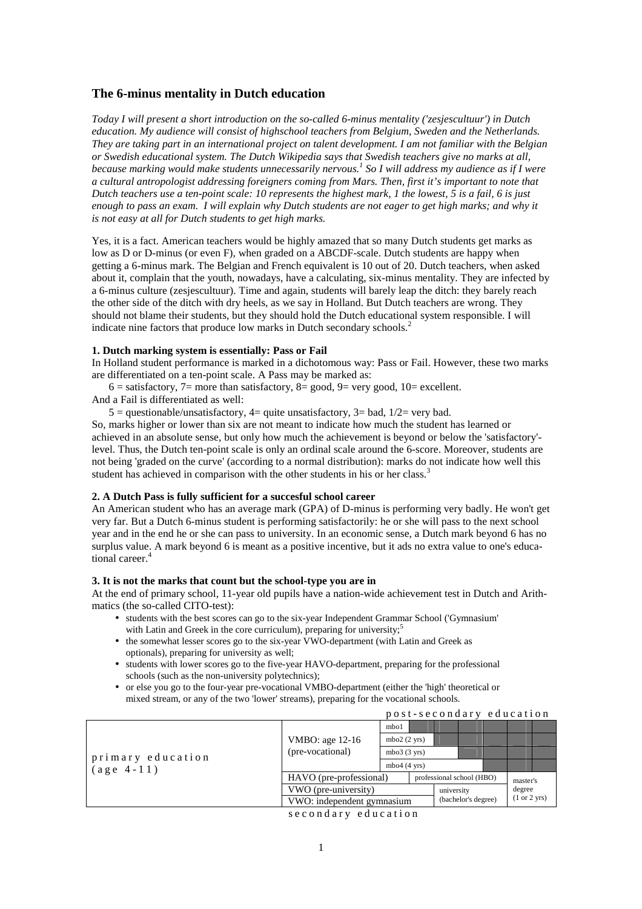# **The 6-minus mentality in Dutch education**

*Today I will present a short introduction on the so-called 6-minus mentality ('zesjescultuur') in Dutch education. My audience will consist of highschool teachers from Belgium, Sweden and the Netherlands. They are taking part in an international project on talent development. I am not familiar with the Belgian or Swedish educational system. The Dutch Wikipedia says that Swedish teachers give no marks at all, because marking would make students unnecessarily nervous. 1 So I will address my audience as if I were a cultural antropologist addressing foreigners coming from Mars. Then, first it's important to note that Dutch teachers use a ten-point scale: 10 represents the highest mark, 1 the lowest, 5 is a fail, 6 is just enough to pass an exam. I will explain why Dutch students are not eager to get high marks; and why it is not easy at all for Dutch students to get high marks.* 

Yes, it is a fact. American teachers would be highly amazed that so many Dutch students get marks as low as D or D-minus (or even F), when graded on a ABCDF-scale. Dutch students are happy when getting a 6-minus mark. The Belgian and French equivalent is 10 out of 20. Dutch teachers, when asked about it, complain that the youth, nowadays, have a calculating, six-minus mentality. They are infected by a 6-minus culture (zesjescultuur). Time and again, students will barely leap the ditch: they barely reach the other side of the ditch with dry heels, as we say in Holland. But Dutch teachers are wrong. They should not blame their students, but they should hold the Dutch educational system responsible. I will indicate nine factors that produce low marks in Dutch secondary schools.<sup>2</sup>

#### **1. Dutch marking system is essentially: Pass or Fail**

In Holland student performance is marked in a dichotomous way: Pass or Fail. However, these two marks are differentiated on a ten-point scale. A Pass may be marked as:

 $6 =$  satisfactory,  $7 =$  more than satisfactory,  $8 =$  good,  $9 =$  very good,  $10 =$  excellent. And a Fail is differentiated as well:

 $5 =$  questionable/unsatisfactory,  $4 =$  quite unsatisfactory,  $3 =$  bad,  $1/2 =$  very bad.

So, marks higher or lower than six are not meant to indicate how much the student has learned or achieved in an absolute sense, but only how much the achievement is beyond or below the 'satisfactory' level. Thus, the Dutch ten-point scale is only an ordinal scale around the 6-score. Moreover, students are not being 'graded on the curve' (according to a normal distribution): marks do not indicate how well this student has achieved in comparison with the other students in his or her class.<sup>3</sup>

### **2. A Dutch Pass is fully sufficient for a succesful school career**

An American student who has an average mark (GPA) of D-minus is performing very badly. He won't get very far. But a Dutch 6-minus student is performing satisfactorily: he or she will pass to the next school year and in the end he or she can pass to university. In an economic sense, a Dutch mark beyond 6 has no surplus value. A mark beyond 6 is meant as a positive incentive, but it ads no extra value to one's educational career.<sup>4</sup>

### **3. It is not the marks that count but the school-type you are in**

At the end of primary school, 11-year old pupils have a nation-wide achievement test in Dutch and Arithmatics (the so-called CITO-test):

- students with the best scores can go to the six-year Independent Grammar School ('Gymnasium' with Latin and Greek in the core curriculum), preparing for university;<sup>5</sup>
- the somewhat lesser scores go to the six-year VWO-department (with Latin and Greek as optionals), preparing for university as well;
- students with lower scores go to the five-year HAVO-department, preparing for the professional schools (such as the non-university polytechnics);
- or else you go to the four-year pre-vocational VMBO-department (either the 'high' theoretical or mixed stream, or any of the two 'lower' streams), preparing for the vocational schools.

|                                   |                                     |                        | post-secondary education |                                   |  |  |                        |  |  |
|-----------------------------------|-------------------------------------|------------------------|--------------------------|-----------------------------------|--|--|------------------------|--|--|
| primary education<br>$(age 4-11)$ | VMBO: age 12-16<br>(pre-vocational) | mbo1                   |                          |                                   |  |  |                        |  |  |
|                                   |                                     | $mbo2(2 \text{ yrs})$  |                          |                                   |  |  |                        |  |  |
|                                   |                                     | $mbo3(3 \text{ yrs})$  |                          |                                   |  |  |                        |  |  |
|                                   |                                     | mbo $4(4 \text{ yrs})$ |                          |                                   |  |  |                        |  |  |
|                                   | HAVO (pre-professional)             |                        |                          | professional school (HBO)         |  |  | master's               |  |  |
|                                   | VWO (pre-university)                |                        |                          | university<br>(bachelor's degree) |  |  | degree<br>(1 or 2 yrs) |  |  |
|                                   | VWO: independent gymnasium          |                        |                          |                                   |  |  |                        |  |  |
|                                   |                                     |                        |                          |                                   |  |  |                        |  |  |

s e c o n d a r y e d u c a t i o n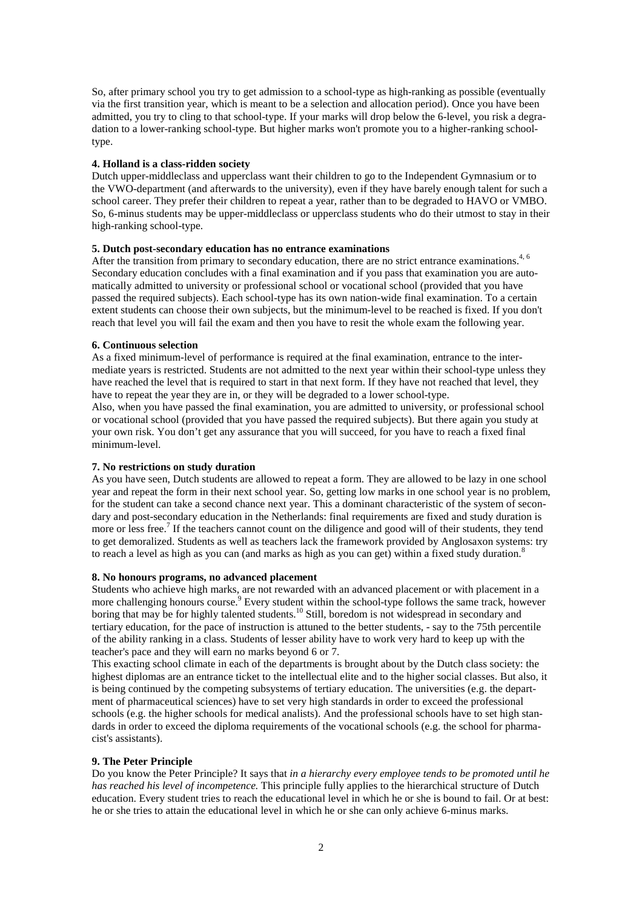So, after primary school you try to get admission to a school-type as high-ranking as possible (eventually via the first transition year, which is meant to be a selection and allocation period). Once you have been admitted, you try to cling to that school-type. If your marks will drop below the 6-level, you risk a degradation to a lower-ranking school-type. But higher marks won't promote you to a higher-ranking schooltype.

# **4. Holland is a class-ridden society**

Dutch upper-middleclass and upperclass want their children to go to the Independent Gymnasium or to the VWO-department (and afterwards to the university), even if they have barely enough talent for such a school career. They prefer their children to repeat a year, rather than to be degraded to HAVO or VMBO. So, 6-minus students may be upper-middleclass or upperclass students who do their utmost to stay in their high-ranking school-type.

# **5. Dutch post-secondary education has no entrance examinations**

After the transition from primary to secondary education, there are no strict entrance examinations.<sup>4, 6</sup> Secondary education concludes with a final examination and if you pass that examination you are automatically admitted to university or professional school or vocational school (provided that you have passed the required subjects). Each school-type has its own nation-wide final examination. To a certain extent students can choose their own subjects, but the minimum-level to be reached is fixed. If you don't reach that level you will fail the exam and then you have to resit the whole exam the following year.

#### **6. Continuous selection**

As a fixed minimum-level of performance is required at the final examination, entrance to the intermediate years is restricted. Students are not admitted to the next year within their school-type unless they have reached the level that is required to start in that next form. If they have not reached that level, they have to repeat the year they are in, or they will be degraded to a lower school-type.

Also, when you have passed the final examination, you are admitted to university, or professional school or vocational school (provided that you have passed the required subjects). But there again you study at your own risk. You don't get any assurance that you will succeed, for you have to reach a fixed final minimum-level.

# **7. No restrictions on study duration**

As you have seen, Dutch students are allowed to repeat a form. They are allowed to be lazy in one school year and repeat the form in their next school year. So, getting low marks in one school year is no problem, for the student can take a second chance next year. This a dominant characteristic of the system of secondary and post-secondary education in the Netherlands: final requirements are fixed and study duration is more or less free.<sup>7</sup> If the teachers cannot count on the diligence and good will of their students, they tend to get demoralized. Students as well as teachers lack the framework provided by Anglosaxon systems: try to reach a level as high as you can (and marks as high as you can get) within a fixed study duration.<sup>8</sup>

### **8. No honours programs, no advanced placement**

Students who achieve high marks, are not rewarded with an advanced placement or with placement in a more challenging honours course.<sup>9</sup> Every student within the school-type follows the same track, however boring that may be for highly talented students.<sup>10</sup> Still, boredom is not widespread in secondary and tertiary education, for the pace of instruction is attuned to the better students, - say to the 75th percentile of the ability ranking in a class. Students of lesser ability have to work very hard to keep up with the teacher's pace and they will earn no marks beyond 6 or 7.

This exacting school climate in each of the departments is brought about by the Dutch class society: the highest diplomas are an entrance ticket to the intellectual elite and to the higher social classes. But also, it is being continued by the competing subsystems of tertiary education. The universities (e.g. the department of pharmaceutical sciences) have to set very high standards in order to exceed the professional schools (e.g. the higher schools for medical analists). And the professional schools have to set high standards in order to exceed the diploma requirements of the vocational schools (e.g. the school for pharmacist's assistants).

### **9. The Peter Principle**

Do you know the Peter Principle? It says that *in a hierarchy every employee tends to be promoted until he has reached his level of incompetence.* This principle fully applies to the hierarchical structure of Dutch education. Every student tries to reach the educational level in which he or she is bound to fail. Or at best: he or she tries to attain the educational level in which he or she can only achieve 6-minus marks.